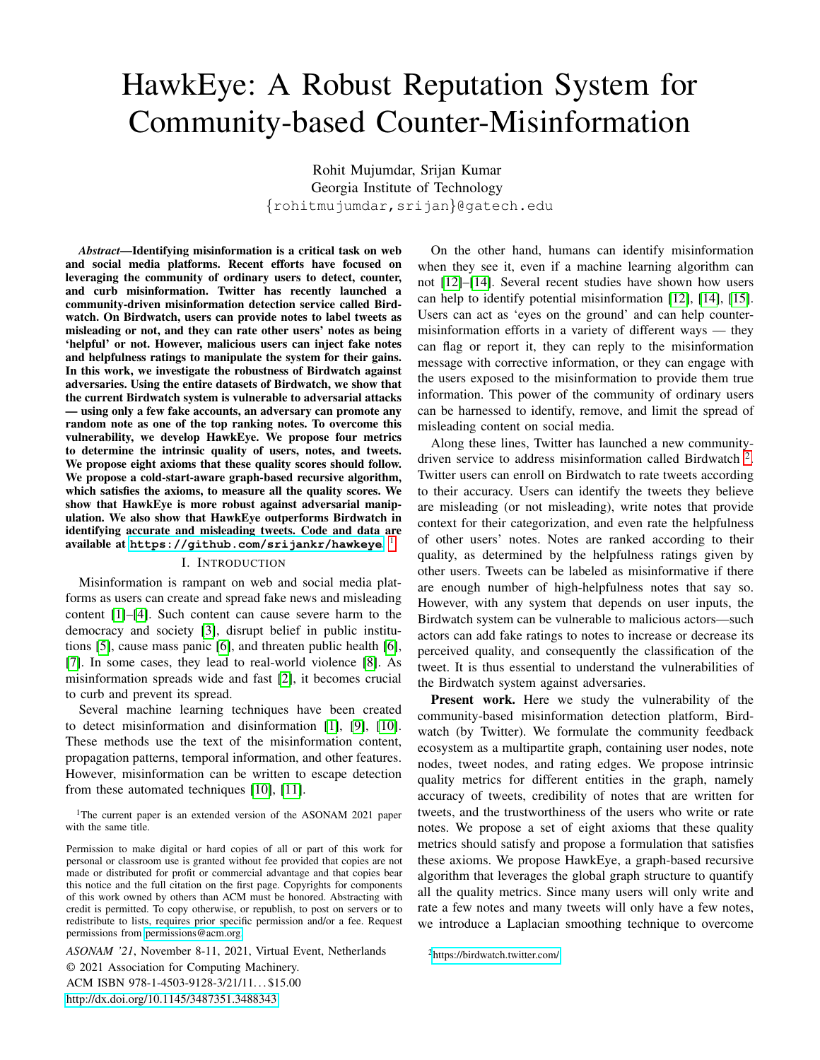# <span id="page-0-0"></span>HawkEye: A Robust Reputation System for Community-based Counter-Misinformation

Rohit Mujumdar, Srijan Kumar Georgia Institute of Technology {rohitmujumdar,srijan}@gatech.edu

*Abstract*—Identifying misinformation is a critical task on web and social media platforms. Recent efforts have focused on leveraging the community of ordinary users to detect, counter, and curb misinformation. Twitter has recently launched a community-driven misinformation detection service called Birdwatch. On Birdwatch, users can provide notes to label tweets as misleading or not, and they can rate other users' notes as being 'helpful' or not. However, malicious users can inject fake notes and helpfulness ratings to manipulate the system for their gains. In this work, we investigate the robustness of Birdwatch against adversaries. Using the entire datasets of Birdwatch, we show that the current Birdwatch system is vulnerable to adversarial attacks — using only a few fake accounts, an adversary can promote any random note as one of the top ranking notes. To overcome this vulnerability, we develop HawkEye. We propose four metrics to determine the intrinsic quality of users, notes, and tweets. We propose eight axioms that these quality scores should follow. We propose a cold-start-aware graph-based recursive algorithm, which satisfies the axioms, to measure all the quality scores. We show that HawkEye is more robust against adversarial manipulation. We also show that HawkEye outperforms Birdwatch in identifying accurate and misleading tweets. Code and data are available at **<https://github.com/srijankr/hawkeye>**. 1

#### I. INTRODUCTION

Misinformation is rampant on web and social media platforms as users can create and spread fake news and misleading content [\[1\]](#page-7-0)–[\[4\]](#page-7-1). Such content can cause severe harm to the democracy and society [\[3\]](#page-7-2), disrupt belief in public institutions [\[5\]](#page-7-3), cause mass panic [\[6\]](#page-7-4), and threaten public health [\[6\]](#page-7-4), [\[7\]](#page-7-5). In some cases, they lead to real-world violence [\[8\]](#page-7-6). As misinformation spreads wide and fast [\[2\]](#page-7-7), it becomes crucial to curb and prevent its spread.

Several machine learning techniques have been created to detect misinformation and disinformation [\[1\]](#page-7-0), [\[9\]](#page-7-8), [\[10\]](#page-7-9). These methods use the text of the misinformation content, propagation patterns, temporal information, and other features. However, misinformation can be written to escape detection from these automated techniques [\[10\]](#page-7-9), [\[11\]](#page-7-10).

<sup>1</sup>The current paper is an extended version of the ASONAM 2021 paper with the same title.

Permission to make digital or hard copies of all or part of this work for personal or classroom use is granted without fee provided that copies are not made or distributed for profit or commercial advantage and that copies bear this notice and the full citation on the first page. Copyrights for components of this work owned by others than ACM must be honored. Abstracting with credit is permitted. To copy otherwise, or republish, to post on servers or to redistribute to lists, requires prior specific permission and/or a fee. Request permissions from [permissions@acm.org.](mailto:permissions@acm.org)

*ASONAM '21*, November 8-11, 2021, Virtual Event, Netherlands © 2021 Association for Computing Machinery. ACM ISBN 978-1-4503-9128-3/21/11. . . \$15.00 <http://dx.doi.org/10.1145/3487351.3488343>

On the other hand, humans can identify misinformation when they see it, even if a machine learning algorithm can not [\[12\]](#page-7-11)–[\[14\]](#page-7-12). Several recent studies have shown how users can help to identify potential misinformation [\[12\]](#page-7-11), [\[14\]](#page-7-12), [\[15\]](#page-7-13). Users can act as 'eyes on the ground' and can help countermisinformation efforts in a variety of different ways — they can flag or report it, they can reply to the misinformation message with corrective information, or they can engage with the users exposed to the misinformation to provide them true information. This power of the community of ordinary users can be harnessed to identify, remove, and limit the spread of misleading content on social media.

Along these lines, Twitter has launched a new communitydriven service to address misinformation called Birdwatch<sup>2</sup>. Twitter users can enroll on Birdwatch to rate tweets according to their accuracy. Users can identify the tweets they believe are misleading (or not misleading), write notes that provide context for their categorization, and even rate the helpfulness of other users' notes. Notes are ranked according to their quality, as determined by the helpfulness ratings given by other users. Tweets can be labeled as misinformative if there are enough number of high-helpfulness notes that say so. However, with any system that depends on user inputs, the Birdwatch system can be vulnerable to malicious actors—such actors can add fake ratings to notes to increase or decrease its perceived quality, and consequently the classification of the tweet. It is thus essential to understand the vulnerabilities of the Birdwatch system against adversaries.

Present work. Here we study the vulnerability of the community-based misinformation detection platform, Birdwatch (by Twitter). We formulate the community feedback ecosystem as a multipartite graph, containing user nodes, note nodes, tweet nodes, and rating edges. We propose intrinsic quality metrics for different entities in the graph, namely accuracy of tweets, credibility of notes that are written for tweets, and the trustworthiness of the users who write or rate notes. We propose a set of eight axioms that these quality metrics should satisfy and propose a formulation that satisfies these axioms. We propose HawkEye, a graph-based recursive algorithm that leverages the global graph structure to quantify all the quality metrics. Since many users will only write and rate a few notes and many tweets will only have a few notes, we introduce a Laplacian smoothing technique to overcome

<sup>2</sup><https://birdwatch.twitter.com/>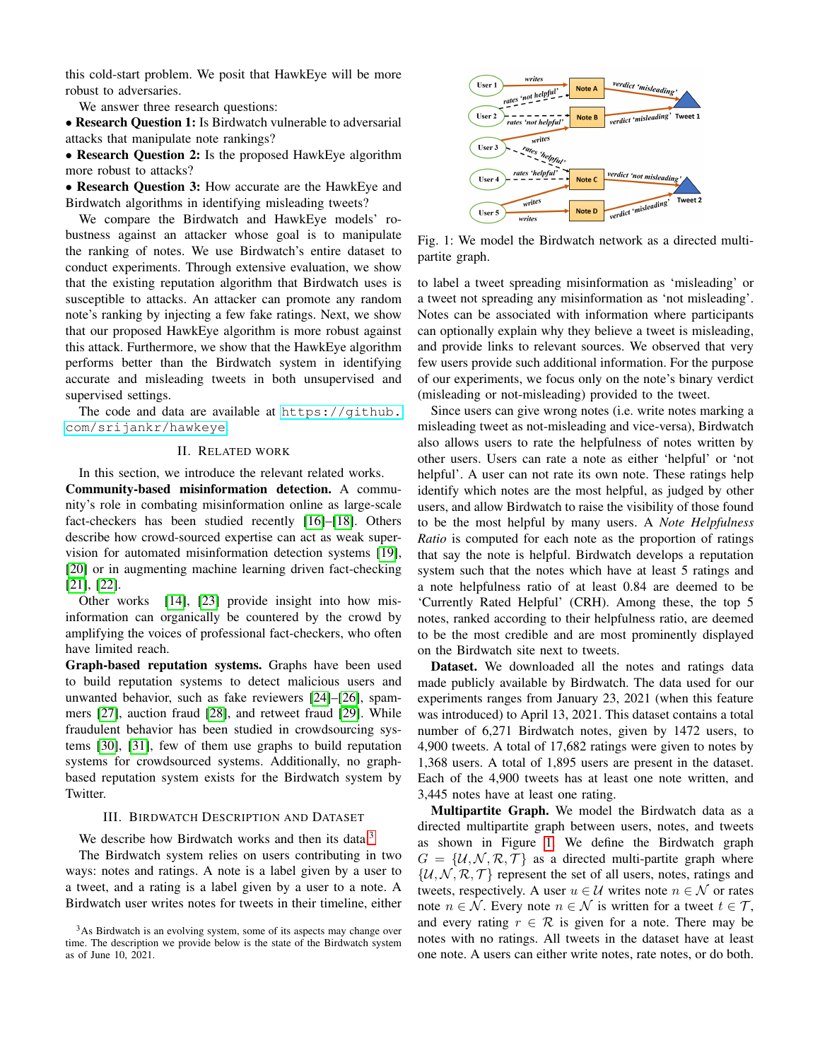this cold-start problem. We posit that HawkEye will be more robust to adversaries.

We answer three research questions:

• Research Question 1: Is Birdwatch vulnerable to adversarial attacks that manipulate note rankings?

• Research Question 2: Is the proposed HawkEye algorithm more robust to attacks?

• Research Question 3: How accurate are the HawkEye and Birdwatch algorithms in identifying misleading tweets?

We compare the Birdwatch and HawkEye models' robustness against an attacker whose goal is to manipulate the ranking of notes. We use Birdwatch's entire dataset to conduct experiments. Through extensive evaluation, we show that the existing reputation algorithm that Birdwatch uses is susceptible to attacks. An attacker can promote any random note's ranking by injecting a few fake ratings. Next, we show that our proposed HawkEye algorithm is more robust against this attack. Furthermore, we show that the HawkEye algorithm performs better than the Birdwatch system in identifying accurate and misleading tweets in both unsupervised and supervised settings.

The code and data are available at [https://github.](https://github.com/srijankr/hawkeye) [com/srijankr/hawkeye](https://github.com/srijankr/hawkeye).

## II. RELATED WORK

In this section, we introduce the relevant related works.

Community-based misinformation detection. A community's role in combating misinformation online as large-scale fact-checkers has been studied recently [\[16\]](#page-7-14)–[\[18\]](#page-7-15). Others describe how crowd-sourced expertise can act as weak supervision for automated misinformation detection systems [\[19\]](#page-7-16), [\[20\]](#page-7-17) or in augmenting machine learning driven fact-checking [\[21\]](#page-7-18), [\[22\]](#page-7-19).

Other works [\[14\]](#page-7-12), [\[23\]](#page-7-20) provide insight into how misinformation can organically be countered by the crowd by amplifying the voices of professional fact-checkers, who often have limited reach.

Graph-based reputation systems. Graphs have been used to build reputation systems to detect malicious users and unwanted behavior, such as fake reviewers [\[24\]](#page-7-21)–[\[26\]](#page-7-22), spammers [\[27\]](#page-7-23), auction fraud [\[28\]](#page-7-24), and retweet fraud [\[29\]](#page-7-25). While fraudulent behavior has been studied in crowdsourcing systems [\[30\]](#page-7-26), [\[31\]](#page-7-27), few of them use graphs to build reputation systems for crowdsourced systems. Additionally, no graphbased reputation system exists for the Birdwatch system by Twitter.

## III. BIRDWATCH DESCRIPTION AND DATASET

We describe how Birdwatch works and then its data.<sup>[3](#page-0-0)</sup>

The Birdwatch system relies on users contributing in two ways: notes and ratings. A note is a label given by a user to a tweet, and a rating is a label given by a user to a note. A Birdwatch user writes notes for tweets in their timeline, either

<span id="page-1-0"></span>

Fig. 1: We model the Birdwatch network as a directed multipartite graph.

to label a tweet spreading misinformation as 'misleading' or a tweet not spreading any misinformation as 'not misleading'. Notes can be associated with information where participants can optionally explain why they believe a tweet is misleading, and provide links to relevant sources. We observed that very few users provide such additional information. For the purpose of our experiments, we focus only on the note's binary verdict (misleading or not-misleading) provided to the tweet.

Since users can give wrong notes (i.e. write notes marking a misleading tweet as not-misleading and vice-versa), Birdwatch also allows users to rate the helpfulness of notes written by other users. Users can rate a note as either 'helpful' or 'not helpful'. A user can not rate its own note. These ratings help identify which notes are the most helpful, as judged by other users, and allow Birdwatch to raise the visibility of those found to be the most helpful by many users. A *Note Helpfulness Ratio* is computed for each note as the proportion of ratings that say the note is helpful. Birdwatch develops a reputation system such that the notes which have at least 5 ratings and a note helpfulness ratio of at least 0.84 are deemed to be 'Currently Rated Helpful' (CRH). Among these, the top 5 notes, ranked according to their helpfulness ratio, are deemed to be the most credible and are most prominently displayed on the Birdwatch site next to tweets.

Dataset. We downloaded all the notes and ratings data made publicly available by Birdwatch. The data used for our experiments ranges from January 23, 2021 (when this feature was introduced) to April 13, 2021. This dataset contains a total number of 6,271 Birdwatch notes, given by 1472 users, to 4,900 tweets. A total of 17,682 ratings were given to notes by 1,368 users. A total of 1,895 users are present in the dataset. Each of the 4,900 tweets has at least one note written, and 3,445 notes have at least one rating.

Multipartite Graph. We model the Birdwatch data as a directed multipartite graph between users, notes, and tweets as shown in Figure [1.](#page-1-0) We define the Birdwatch graph  $G = \{U, \mathcal{N}, \mathcal{R}, \mathcal{T}\}\$ as a directed multi-partite graph where  $\{\mathcal{U}, \mathcal{N}, \mathcal{R}, \mathcal{T}\}\$  represent the set of all users, notes, ratings and tweets, respectively. A user  $u \in \mathcal{U}$  writes note  $n \in \mathcal{N}$  or rates note  $n \in \mathcal{N}$ . Every note  $n \in \mathcal{N}$  is written for a tweet  $t \in \mathcal{T}$ , and every rating  $r \in \mathcal{R}$  is given for a note. There may be notes with no ratings. All tweets in the dataset have at least one note. A users can either write notes, rate notes, or do both.

<sup>&</sup>lt;sup>3</sup>As Birdwatch is an evolving system, some of its aspects may change over time. The description we provide below is the state of the Birdwatch system as of June 10, 2021.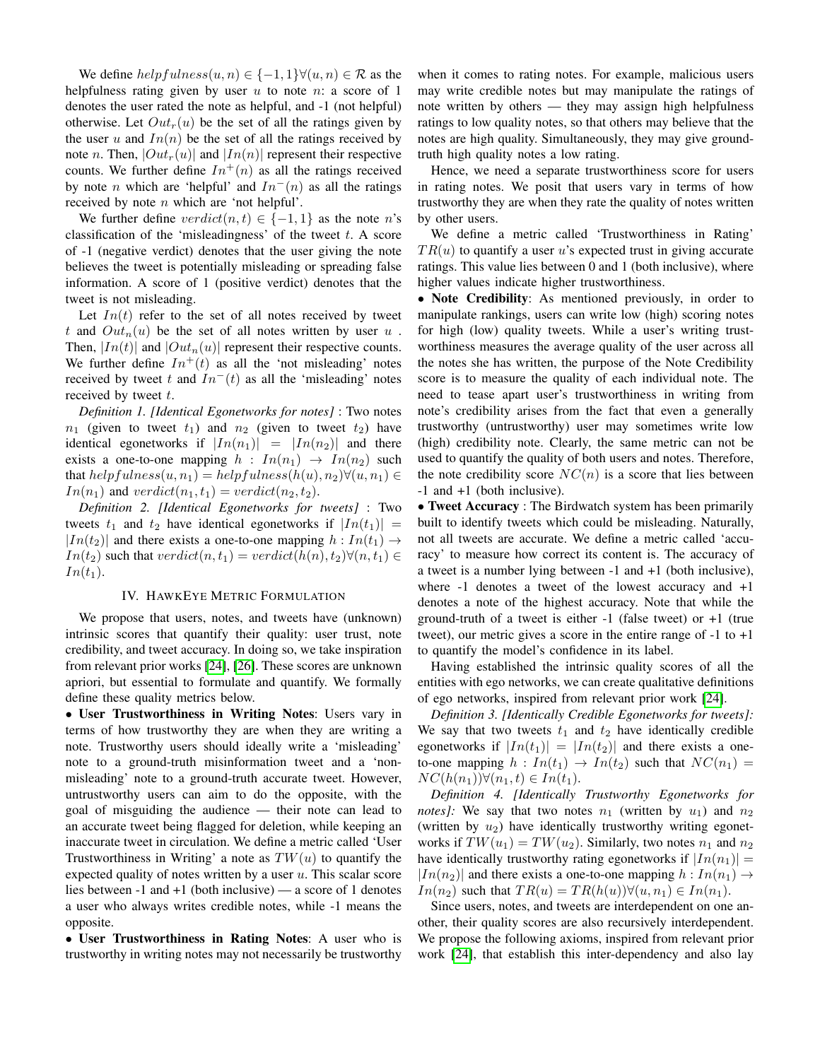We define  $helpfulness(u, n) \in \{-1, 1\} \forall (u, n) \in \mathcal{R}$  as the helpfulness rating given by user  $u$  to note  $n:$  a score of 1 denotes the user rated the note as helpful, and -1 (not helpful) otherwise. Let  $Out<sub>r</sub>(u)$  be the set of all the ratings given by the user u and  $In(n)$  be the set of all the ratings received by note *n*. Then,  $|Out_r(u)|$  and  $|In(n)|$  represent their respective counts. We further define  $In^{+}(n)$  as all the ratings received by note *n* which are 'helpful' and  $In^{-}(n)$  as all the ratings received by note  $n$  which are 'not helpful'.

We further define  $verdict(n, t) \in \{-1, 1\}$  as the note n's classification of the 'misleadingness' of the tweet  $t$ . A score of -1 (negative verdict) denotes that the user giving the note believes the tweet is potentially misleading or spreading false information. A score of 1 (positive verdict) denotes that the tweet is not misleading.

Let  $In(t)$  refer to the set of all notes received by tweet t and  $Out_n(u)$  be the set of all notes written by user u. Then,  $|In(t)|$  and  $|Out_n(u)|$  represent their respective counts. We further define  $In^{+}(t)$  as all the 'not misleading' notes received by tweet t and  $In^{-}(t)$  as all the 'misleading' notes received by tweet  $t$ .

*Definition 1. [Identical Egonetworks for notes]* : Two notes  $n_1$  (given to tweet  $t_1$ ) and  $n_2$  (given to tweet  $t_2$ ) have identical egonetworks if  $|In(n_1)| = |In(n_2)|$  and there exists a one-to-one mapping  $h : In(n_1) \rightarrow In(n_2)$  such that  $helpfulness(u, n_1) = helpfulness(h(u), n_2) \forall (u, n_1) \in$  $In(n_1)$  and  $verdict(n_1, t_1) = verdict(n_2, t_2)$ .

*Definition 2. [Identical Egonetworks for tweets]* : Two tweets  $t_1$  and  $t_2$  have identical egonetworks if  $|In(t_1)| =$  $|In(t_2)|$  and there exists a one-to-one mapping  $h: In(t_1) \rightarrow$  $In(t_2)$  such that  $verdict(n, t_1) = verdict(h(n), t_2) \forall (n, t_1) \in$  $In(t_1).$ 

## IV. HAWKEYE METRIC FORMULATION

We propose that users, notes, and tweets have (unknown) intrinsic scores that quantify their quality: user trust, note credibility, and tweet accuracy. In doing so, we take inspiration from relevant prior works [\[24\]](#page-7-21), [\[26\]](#page-7-22). These scores are unknown apriori, but essential to formulate and quantify. We formally define these quality metrics below.

• User Trustworthiness in Writing Notes: Users vary in terms of how trustworthy they are when they are writing a note. Trustworthy users should ideally write a 'misleading' note to a ground-truth misinformation tweet and a 'nonmisleading' note to a ground-truth accurate tweet. However, untrustworthy users can aim to do the opposite, with the goal of misguiding the audience — their note can lead to an accurate tweet being flagged for deletion, while keeping an inaccurate tweet in circulation. We define a metric called 'User Trustworthiness in Writing' a note as  $TW(u)$  to quantify the expected quality of notes written by a user  $u$ . This scalar score lies between -1 and +1 (both inclusive) — a score of 1 denotes a user who always writes credible notes, while -1 means the opposite.

• User Trustworthiness in Rating Notes: A user who is trustworthy in writing notes may not necessarily be trustworthy when it comes to rating notes. For example, malicious users may write credible notes but may manipulate the ratings of note written by others — they may assign high helpfulness ratings to low quality notes, so that others may believe that the notes are high quality. Simultaneously, they may give groundtruth high quality notes a low rating.

Hence, we need a separate trustworthiness score for users in rating notes. We posit that users vary in terms of how trustworthy they are when they rate the quality of notes written by other users.

We define a metric called 'Trustworthiness in Rating'  $TR(u)$  to quantify a user u's expected trust in giving accurate ratings. This value lies between 0 and 1 (both inclusive), where higher values indicate higher trustworthiness.

• Note Credibility: As mentioned previously, in order to manipulate rankings, users can write low (high) scoring notes for high (low) quality tweets. While a user's writing trustworthiness measures the average quality of the user across all the notes she has written, the purpose of the Note Credibility score is to measure the quality of each individual note. The need to tease apart user's trustworthiness in writing from note's credibility arises from the fact that even a generally trustworthy (untrustworthy) user may sometimes write low (high) credibility note. Clearly, the same metric can not be used to quantify the quality of both users and notes. Therefore, the note credibility score  $NC(n)$  is a score that lies between -1 and +1 (both inclusive).

• Tweet Accuracy : The Birdwatch system has been primarily built to identify tweets which could be misleading. Naturally, not all tweets are accurate. We define a metric called 'accuracy' to measure how correct its content is. The accuracy of a tweet is a number lying between -1 and +1 (both inclusive), where  $-1$  denotes a tweet of the lowest accuracy and  $+1$ denotes a note of the highest accuracy. Note that while the ground-truth of a tweet is either  $-1$  (false tweet) or  $+1$  (true tweet), our metric gives a score in the entire range of -1 to +1 to quantify the model's confidence in its label.

Having established the intrinsic quality scores of all the entities with ego networks, we can create qualitative definitions of ego networks, inspired from relevant prior work [\[24\]](#page-7-21).

*Definition 3. [Identically Credible Egonetworks for tweets]:* We say that two tweets  $t_1$  and  $t_2$  have identically credible egonetworks if  $|In(t_1)| = |In(t_2)|$  and there exists a oneto-one mapping  $h: In(t_1) \to In(t_2)$  such that  $NC(n_1) =$  $NC(h(n_1))\forall (n_1, t) \in In(t_1).$ 

*Definition 4. [Identically Trustworthy Egonetworks for notes]*: We say that two notes  $n_1$  (written by  $u_1$ ) and  $n_2$ (written by  $u_2$ ) have identically trustworthy writing egonetworks if  $TW(u_1) = TW(u_2)$ . Similarly, two notes  $n_1$  and  $n_2$ have identically trustworthy rating egonetworks if  $|In(n_1)| =$  $|In(n_2)|$  and there exists a one-to-one mapping  $h: In(n_1) \rightarrow$  $In(n_2)$  such that  $TR(u) = TR(h(u)) \forall (u, n_1) \in In(n_1)$ .

Since users, notes, and tweets are interdependent on one another, their quality scores are also recursively interdependent. We propose the following axioms, inspired from relevant prior work [\[24\]](#page-7-21), that establish this inter-dependency and also lay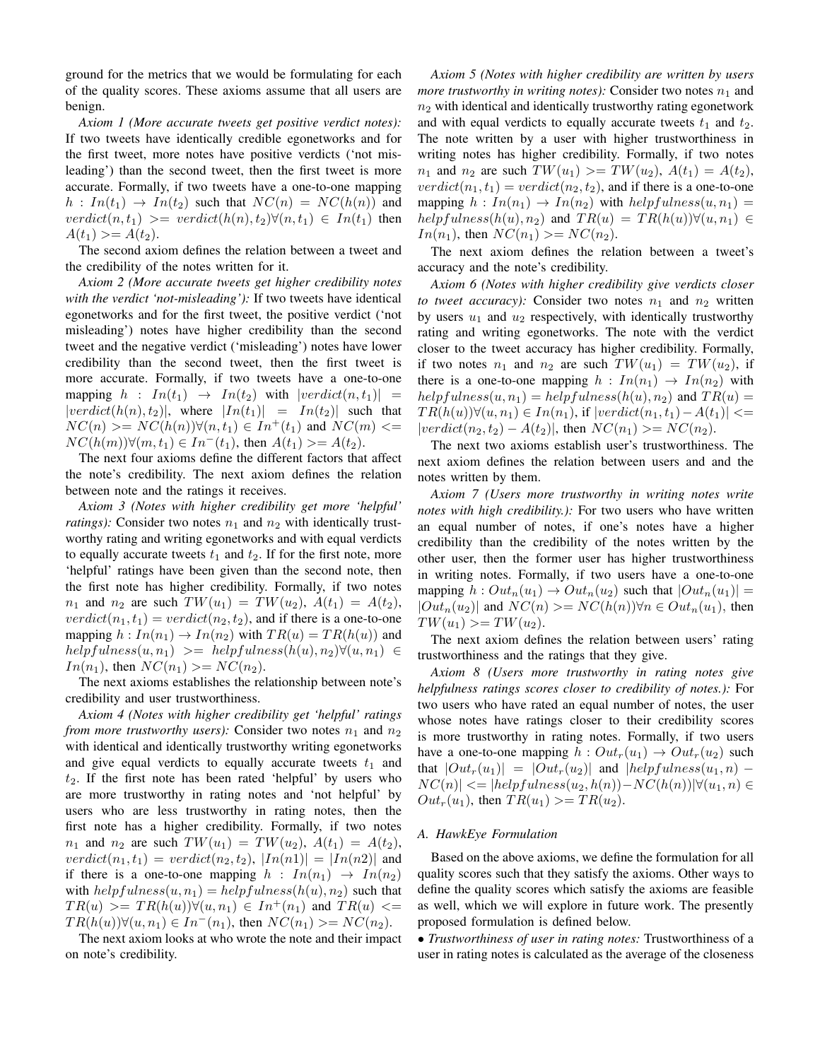ground for the metrics that we would be formulating for each of the quality scores. These axioms assume that all users are benign.

*Axiom 1 (More accurate tweets get positive verdict notes):* If two tweets have identically credible egonetworks and for the first tweet, more notes have positive verdicts ('not misleading') than the second tweet, then the first tweet is more accurate. Formally, if two tweets have a one-to-one mapping  $h: In(t_1) \rightarrow In(t_2)$  such that  $NC(n) = NC(h(n))$  and  $verdict(n, t_1) \geq vertict(h(n), t_2) \forall (n, t_1) \in In(t_1)$  then  $A(t_1) >= A(t_2).$ 

The second axiom defines the relation between a tweet and the credibility of the notes written for it.

*Axiom 2 (More accurate tweets get higher credibility notes with the verdict 'not-misleading'):* If two tweets have identical egonetworks and for the first tweet, the positive verdict ('not misleading') notes have higher credibility than the second tweet and the negative verdict ('misleading') notes have lower credibility than the second tweet, then the first tweet is more accurate. Formally, if two tweets have a one-to-one mapping  $h : In(t_1) \rightarrow In(t_2)$  with  $|verdict(n, t_1)| =$  $|vert( h(n), t_2) |$ , where  $|In(t_1)| = In(t_2)$  such that  $NC(n) \geq NC(h(n))\forall (n, t_1) \in In^+(t_1)$  and  $NC(m) \leq$  $NC(h(m))\forall (m, t_1) \in In^-(t_1)$ , then  $A(t_1) >= A(t_2)$ .

The next four axioms define the different factors that affect the note's credibility. The next axiom defines the relation between note and the ratings it receives.

*Axiom 3 (Notes with higher credibility get more 'helpful' ratings)*: Consider two notes  $n_1$  and  $n_2$  with identically trustworthy rating and writing egonetworks and with equal verdicts to equally accurate tweets  $t_1$  and  $t_2$ . If for the first note, more 'helpful' ratings have been given than the second note, then the first note has higher credibility. Formally, if two notes  $n_1$  and  $n_2$  are such  $TW(u_1) = TW(u_2), A(t_1) = A(t_2),$  $verdict(n_1, t_1) = verdict(n_2, t_2)$ , and if there is a one-to-one mapping  $h: In(n_1) \to In(n_2)$  with  $TR(u) = TR(h(u))$  and  $helpfulness(u, n_1) \geq helpfulness(h(u), n_2) \forall (u, n_1) \in$  $In(n_1)$ , then  $NC(n_1) >= NC(n_2)$ .

The next axioms establishes the relationship between note's credibility and user trustworthiness.

*Axiom 4 (Notes with higher credibility get 'helpful' ratings from more trustworthy users):* Consider two notes  $n_1$  and  $n_2$ with identical and identically trustworthy writing egonetworks and give equal verdicts to equally accurate tweets  $t_1$  and  $t_2$ . If the first note has been rated 'helpful' by users who are more trustworthy in rating notes and 'not helpful' by users who are less trustworthy in rating notes, then the first note has a higher credibility. Formally, if two notes  $n_1$  and  $n_2$  are such  $TW(u_1) = TW(u_2), A(t_1) = A(t_2),$  $verdict(n_1, t_1) = verdict(n_2, t_2), |In(n_1)| = |In(n_2)|$  and if there is a one-to-one mapping  $h : In(n_1) \rightarrow In(n_2)$ with  $helpfulness(u, n_1) = helpfulness(h(u), n_2)$  such that  $TR(u) \geq TR(h(u)) \forall (u, n_1) \in In^+(n_1)$  and  $TR(u) \leq$  $TR(h(u))\forall (u, n_1) \in In^-(n_1)$ , then  $NC(n_1) \geq NC(n_2)$ .

The next axiom looks at who wrote the note and their impact on note's credibility.

*Axiom 5 (Notes with higher credibility are written by users more trustworthy in writing notes):* Consider two notes  $n_1$  and  $n<sub>2</sub>$  with identical and identically trustworthy rating egonetwork and with equal verdicts to equally accurate tweets  $t_1$  and  $t_2$ . The note written by a user with higher trustworthiness in writing notes has higher credibility. Formally, if two notes  $n_1$  and  $n_2$  are such  $TW(u_1) \ge TW(u_2)$ ,  $A(t_1) = A(t_2)$ ,  $verdict(n_1, t_1) = verdict(n_2, t_2)$ , and if there is a one-to-one mapping  $h: In(n_1) \rightarrow In(n_2)$  with  $helpfulness(u, n_1) =$  $helpfulness(h(u), n_2)$  and  $TR(u) = TR(h(u))\forall (u, n_1) \in$  $In(n_1)$ , then  $NC(n_1) \geq NC(n_2)$ .

The next axiom defines the relation between a tweet's accuracy and the note's credibility.

*Axiom 6 (Notes with higher credibility give verdicts closer to tweet accuracy):* Consider two notes  $n_1$  and  $n_2$  written by users  $u_1$  and  $u_2$  respectively, with identically trustworthy rating and writing egonetworks. The note with the verdict closer to the tweet accuracy has higher credibility. Formally, if two notes  $n_1$  and  $n_2$  are such  $TW(u_1) = TW(u_2)$ , if there is a one-to-one mapping  $h: In(n_1) \rightarrow In(n_2)$  with  $helpfulness(u, n_1) = helpfulness(h(u), n_2)$  and  $TR(u) =$  $TR(h(u))\forall (u, n_1) \in In(n_1)$ , if  $|verdict(n_1, t_1) - A(t_1)| \leq$  $|verdict(n_2, t_2) - A(t_2)|$ , then  $NC(n_1) >= NC(n_2)$ .

The next two axioms establish user's trustworthiness. The next axiom defines the relation between users and and the notes written by them.

*Axiom 7 (Users more trustworthy in writing notes write notes with high credibility.):* For two users who have written an equal number of notes, if one's notes have a higher credibility than the credibility of the notes written by the other user, then the former user has higher trustworthiness in writing notes. Formally, if two users have a one-to-one mapping  $h: Out_n(u_1) \to Out_n(u_2)$  such that  $|Out_n(u_1)| =$  $|Out_n(u_2)|$  and  $NC(n) \geq NC(h(n))\forall n \in Out_n(u_1)$ , then  $TW(u_1) >= TW(u_2).$ 

The next axiom defines the relation between users' rating trustworthiness and the ratings that they give.

*Axiom 8 (Users more trustworthy in rating notes give helpfulness ratings scores closer to credibility of notes.):* For two users who have rated an equal number of notes, the user whose notes have ratings closer to their credibility scores is more trustworthy in rating notes. Formally, if two users have a one-to-one mapping  $h: Out_r(u_1) \to Out_r(u_2)$  such that  $|Out_r(u_1)| = |Out_r(u_2)|$  and  $|helpfulness(u_1, n)$  –  $NC(n)| \leq |helpfulness(u_2, h(n)) - NC(h(n))| \forall (u_1, n) \in$  $Out_r(u_1)$ , then  $TR(u_1) >= TR(u_2)$ .

## *A. HawkEye Formulation*

Based on the above axioms, we define the formulation for all quality scores such that they satisfy the axioms. Other ways to define the quality scores which satisfy the axioms are feasible as well, which we will explore in future work. The presently proposed formulation is defined below.

• *Trustworthiness of user in rating notes:* Trustworthiness of a user in rating notes is calculated as the average of the closeness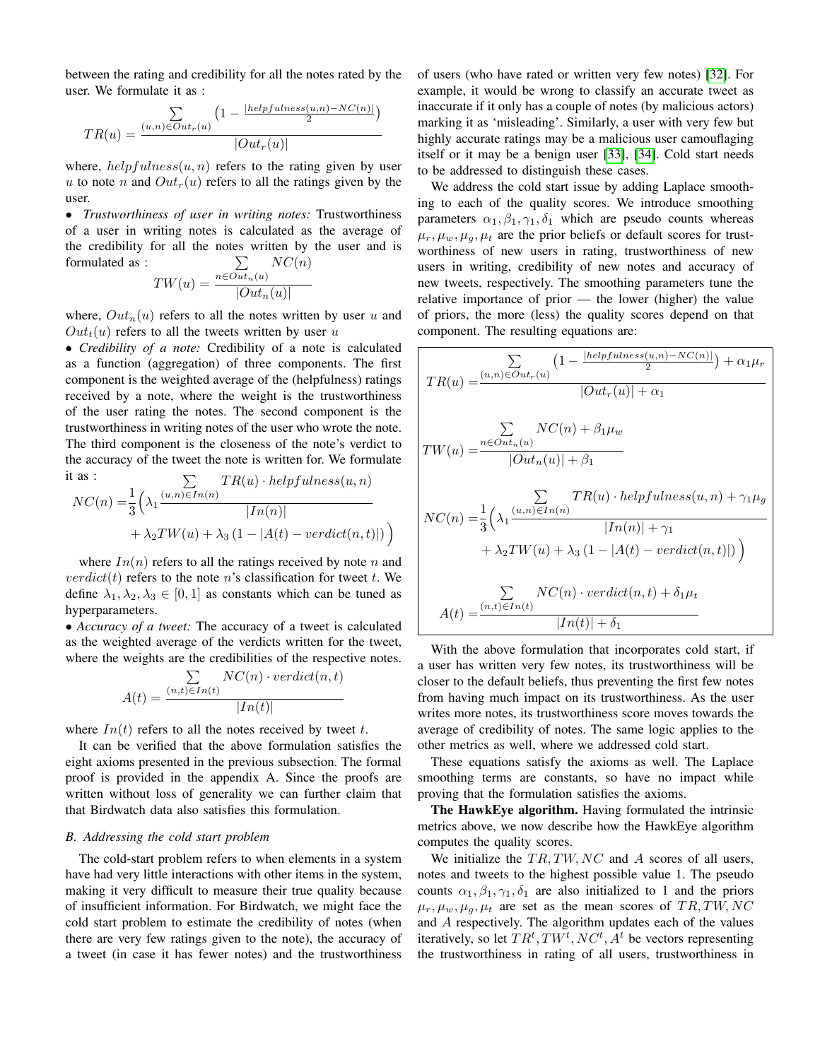between the rating and credibility for all the notes rated by the user. We formulate it as :

$$
TR(u) = \frac{\sum\limits_{(u,n)\in Out_r(u)} \left(1 - \frac{|helpfulness(u,n) - NC(n)|}{2}\right)}{|Out_r(u)|}
$$

where,  $helpfulness(u, n)$  refers to the rating given by user u to note n and  $Out<sub>r</sub>(u)$  refers to all the ratings given by the user.

• *Trustworthiness of user in writing notes:* Trustworthiness of a user in writing notes is calculated as the average of the credibility for all the notes written by the user and is formulated as : P  $n \in Out_n(u)$  $NC(n)$ 

$$
TW(u) = \frac{{^{n\in Out_n(u)}}}{|Out_n(u)|}
$$

where,  $Out_n(u)$  refers to all the notes written by user u and  $Out<sub>t</sub>(u)$  refers to all the tweets written by user u

• *Credibility of a note:* Credibility of a note is calculated as a function (aggregation) of three components. The first component is the weighted average of the (helpfulness) ratings received by a note, where the weight is the trustworthiness of the user rating the notes. The second component is the trustworthiness in writing notes of the user who wrote the note. The third component is the closeness of the note's verdict to the accuracy of the tweet the note is written for. We formulate it as :  $T_{\rm T}$  $(1, 1, 1, 0, 1)$ 

It as : 
$$
\sum_{N} TR(u) \cdot helpfulness(u, n)
$$

$$
NC(n) = \frac{1}{3} \left( \lambda_1 \frac{(u, n) \in In(n)}{|In(n)|} + \lambda_2 TW(u) + \lambda_3 (1 - |A(t) - verdict(n, t)|) \right)
$$

where  $In(n)$  refers to all the ratings received by note n and  $verdict(t)$  refers to the note n's classification for tweet t. We define  $\lambda_1, \lambda_2, \lambda_3 \in [0, 1]$  as constants which can be tuned as hyperparameters.

• *Accuracy of a tweet:* The accuracy of a tweet is calculated as the weighted average of the verdicts written for the tweet, where the weights are the credibilities of the respective notes.

$$
A(t) = \frac{\sum\limits_{(n,t)\in In(t)} NC(n) \cdot verdict(n,t)}{|In(t)|}
$$

where  $In(t)$  refers to all the notes received by tweet t.

It can be verified that the above formulation satisfies the eight axioms presented in the previous subsection. The formal proof is provided in the appendix A. Since the proofs are written without loss of generality we can further claim that that Birdwatch data also satisfies this formulation.

# *B. Addressing the cold start problem*

The cold-start problem refers to when elements in a system have had very little interactions with other items in the system, making it very difficult to measure their true quality because of insufficient information. For Birdwatch, we might face the cold start problem to estimate the credibility of notes (when there are very few ratings given to the note), the accuracy of a tweet (in case it has fewer notes) and the trustworthiness

of users (who have rated or written very few notes) [\[32\]](#page-7-28). For example, it would be wrong to classify an accurate tweet as inaccurate if it only has a couple of notes (by malicious actors) marking it as 'misleading'. Similarly, a user with very few but highly accurate ratings may be a malicious user camouflaging itself or it may be a benign user [\[33\]](#page-8-0), [\[34\]](#page-8-1). Cold start needs to be addressed to distinguish these cases.

We address the cold start issue by adding Laplace smoothing to each of the quality scores. We introduce smoothing parameters  $\alpha_1, \beta_1, \gamma_1, \delta_1$  which are pseudo counts whereas  $\mu_r, \mu_w, \mu_q, \mu_t$  are the prior beliefs or default scores for trustworthiness of new users in rating, trustworthiness of new users in writing, credibility of new notes and accuracy of new tweets, respectively. The smoothing parameters tune the relative importance of prior — the lower (higher) the value of priors, the more (less) the quality scores depend on that component. The resulting equations are:

$$
TR(u) = \frac{\sum_{(u,n) \in Out_r(u)} \left(1 - \frac{|helpfulness(u,n) - NC(n)|}{2}\right) + \alpha_1 \mu_r}{|Out_r(u)| + \alpha_1}
$$
  
\n
$$
TW(u) = \frac{\sum_{n \in Out_n(u)} NC(n) + \beta_1 \mu_w}{|Out_n(u)| + \beta_1}
$$
  
\n
$$
NC(n) = \frac{1}{3} \left(\lambda_1 \frac{(u,n) \in In(n)}{|In(n)| + \gamma_1} + \lambda_2 TW(u) + \lambda_3 (1 - |A(t) - verdict(n, t)|)\right)
$$
  
\n
$$
\frac{\sum_{n \in Out_r(v)} NC(n) \cdot verdict(n, t) + \delta_1 \mu_t}{|In(t)| + \delta_1}
$$
  
\n
$$
A(t) = \frac{(n,t) \in In(t)}{|In(t)| + \delta_1}
$$

With the above formulation that incorporates cold start, if a user has written very few notes, its trustworthiness will be closer to the default beliefs, thus preventing the first few notes from having much impact on its trustworthiness. As the user writes more notes, its trustworthiness score moves towards the average of credibility of notes. The same logic applies to the other metrics as well, where we addressed cold start.

These equations satisfy the axioms as well. The Laplace smoothing terms are constants, so have no impact while proving that the formulation satisfies the axioms.

The HawkEye algorithm. Having formulated the intrinsic metrics above, we now describe how the HawkEye algorithm computes the quality scores.

We initialize the  $TR, TW, NC$  and A scores of all users, notes and tweets to the highest possible value 1. The pseudo counts  $\alpha_1, \beta_1, \gamma_1, \delta_1$  are also initialized to 1 and the priors  $\mu_r, \mu_w, \mu_q, \mu_t$  are set as the mean scores of TR, TW, NC and A respectively. The algorithm updates each of the values iteratively, so let  $TR^t, TW^t, NC^t, A^t$  be vectors representing the trustworthiness in rating of all users, trustworthiness in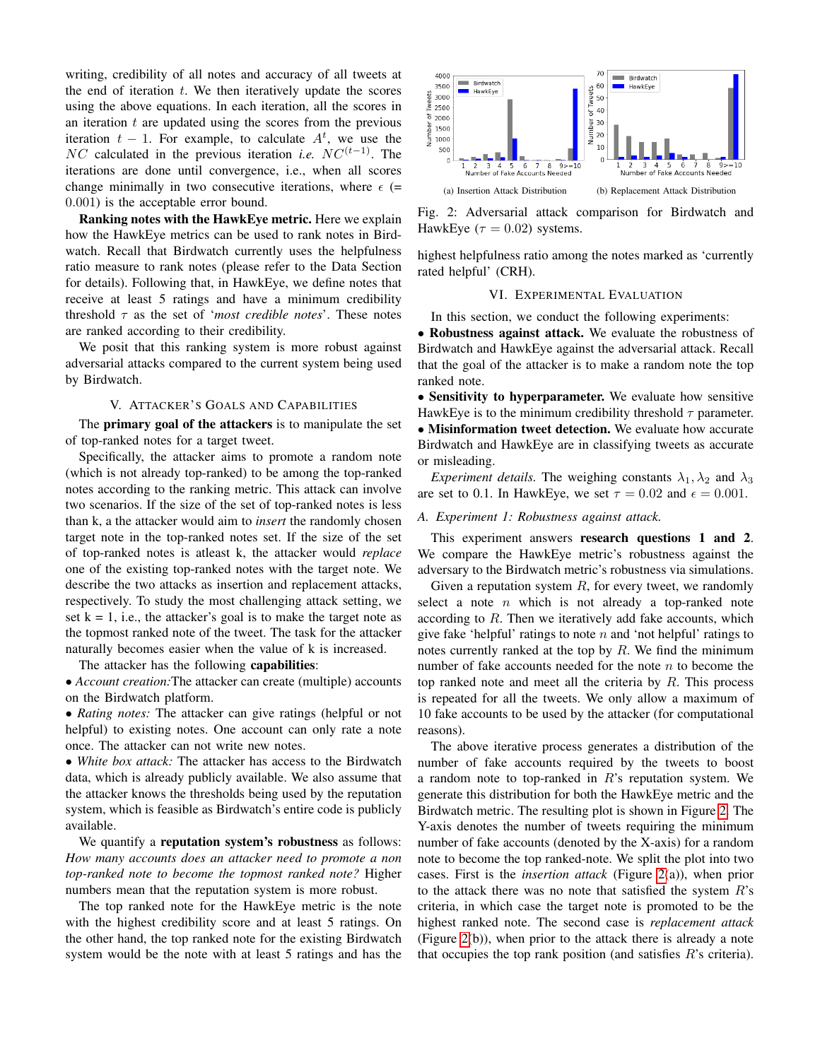writing, credibility of all notes and accuracy of all tweets at the end of iteration  $t$ . We then iteratively update the scores using the above equations. In each iteration, all the scores in an iteration  $t$  are updated using the scores from the previous iteration  $t - 1$ . For example, to calculate  $A<sup>t</sup>$ , we use the  $NC$  calculated in the previous iteration *i.e.*  $NC^{(t-1)}$ . The iterations are done until convergence, i.e., when all scores change minimally in two consecutive iterations, where  $\epsilon$  (= 0.001) is the acceptable error bound.

Ranking notes with the HawkEye metric. Here we explain how the HawkEye metrics can be used to rank notes in Birdwatch. Recall that Birdwatch currently uses the helpfulness ratio measure to rank notes (please refer to the Data Section for details). Following that, in HawkEye, we define notes that receive at least 5 ratings and have a minimum credibility threshold τ as the set of '*most credible notes*'. These notes are ranked according to their credibility.

We posit that this ranking system is more robust against adversarial attacks compared to the current system being used by Birdwatch.

## V. ATTACKER'S GOALS AND CAPABILITIES

The primary goal of the attackers is to manipulate the set of top-ranked notes for a target tweet.

Specifically, the attacker aims to promote a random note (which is not already top-ranked) to be among the top-ranked notes according to the ranking metric. This attack can involve two scenarios. If the size of the set of top-ranked notes is less than k, a the attacker would aim to *insert* the randomly chosen target note in the top-ranked notes set. If the size of the set of top-ranked notes is atleast k, the attacker would *replace* one of the existing top-ranked notes with the target note. We describe the two attacks as insertion and replacement attacks, respectively. To study the most challenging attack setting, we set  $k = 1$ , i.e., the attacker's goal is to make the target note as the topmost ranked note of the tweet. The task for the attacker naturally becomes easier when the value of k is increased.

The attacker has the following capabilities:

• *Account creation:*The attacker can create (multiple) accounts on the Birdwatch platform.

• *Rating notes:* The attacker can give ratings (helpful or not helpful) to existing notes. One account can only rate a note once. The attacker can not write new notes.

• *White box attack:* The attacker has access to the Birdwatch data, which is already publicly available. We also assume that the attacker knows the thresholds being used by the reputation system, which is feasible as Birdwatch's entire code is publicly available.

We quantify a **reputation system's robustness** as follows: *How many accounts does an attacker need to promote a non top-ranked note to become the topmost ranked note?* Higher numbers mean that the reputation system is more robust.

The top ranked note for the HawkEye metric is the note with the highest credibility score and at least 5 ratings. On the other hand, the top ranked note for the existing Birdwatch system would be the note with at least 5 ratings and has the

<span id="page-5-0"></span>

Fig. 2: Adversarial attack comparison for Birdwatch and HawkEye ( $\tau = 0.02$ ) systems.

highest helpfulness ratio among the notes marked as 'currently rated helpful' (CRH).

## VI. EXPERIMENTAL EVALUATION

In this section, we conduct the following experiments:

• Robustness against attack. We evaluate the robustness of Birdwatch and HawkEye against the adversarial attack. Recall that the goal of the attacker is to make a random note the top ranked note.

• Sensitivity to hyperparameter. We evaluate how sensitive HawkEye is to the minimum credibility threshold  $\tau$  parameter. • Misinformation tweet detection. We evaluate how accurate Birdwatch and HawkEye are in classifying tweets as accurate or misleading.

*Experiment details.* The weighing constants  $\lambda_1, \lambda_2$  and  $\lambda_3$ are set to 0.1. In HawkEye, we set  $\tau = 0.02$  and  $\epsilon = 0.001$ .

# *A. Experiment 1: Robustness against attack.*

This experiment answers research questions 1 and 2. We compare the HawkEye metric's robustness against the adversary to the Birdwatch metric's robustness via simulations.

Given a reputation system  $R$ , for every tweet, we randomly select a note  $n$  which is not already a top-ranked note according to R. Then we iteratively add fake accounts, which give fake 'helpful' ratings to note  $n$  and 'not helpful' ratings to notes currently ranked at the top by  $R$ . We find the minimum number of fake accounts needed for the note  $n$  to become the top ranked note and meet all the criteria by  $R$ . This process is repeated for all the tweets. We only allow a maximum of 10 fake accounts to be used by the attacker (for computational reasons).

The above iterative process generates a distribution of the number of fake accounts required by the tweets to boost a random note to top-ranked in  $R$ 's reputation system. We generate this distribution for both the HawkEye metric and the Birdwatch metric. The resulting plot is shown in Figure [2.](#page-5-0) The Y-axis denotes the number of tweets requiring the minimum number of fake accounts (denoted by the X-axis) for a random note to become the top ranked-note. We split the plot into two cases. First is the *insertion attack* (Figure [2\(](#page-5-0)a)), when prior to the attack there was no note that satisfied the system  $R$ 's criteria, in which case the target note is promoted to be the highest ranked note. The second case is *replacement attack* (Figure [2\(](#page-5-0)b)), when prior to the attack there is already a note that occupies the top rank position (and satisfies  $R$ 's criteria).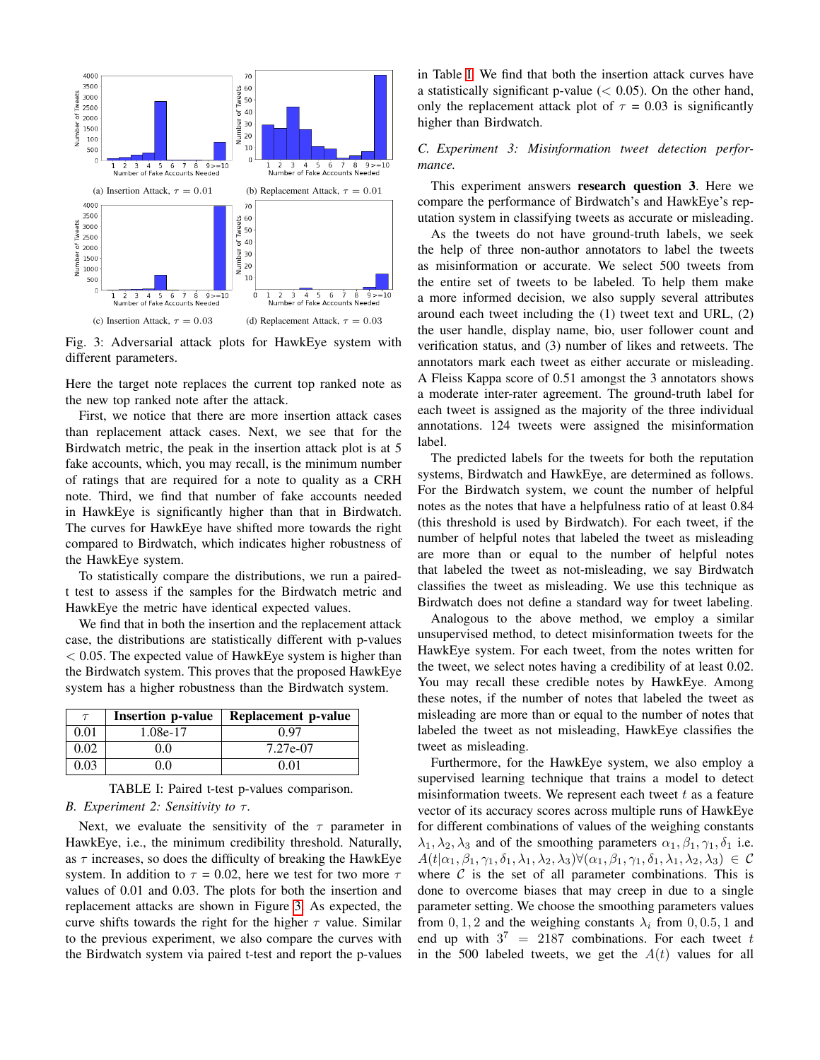<span id="page-6-0"></span>

Fig. 3: Adversarial attack plots for HawkEye system with different parameters.

Here the target note replaces the current top ranked note as the new top ranked note after the attack.

First, we notice that there are more insertion attack cases than replacement attack cases. Next, we see that for the Birdwatch metric, the peak in the insertion attack plot is at 5 fake accounts, which, you may recall, is the minimum number of ratings that are required for a note to quality as a CRH note. Third, we find that number of fake accounts needed in HawkEye is significantly higher than that in Birdwatch. The curves for HawkEye have shifted more towards the right compared to Birdwatch, which indicates higher robustness of the HawkEye system.

To statistically compare the distributions, we run a pairedt test to assess if the samples for the Birdwatch metric and HawkEye the metric have identical expected values.

We find that in both the insertion and the replacement attack case, the distributions are statistically different with p-values  $< 0.05$ . The expected value of HawkEye system is higher than the Birdwatch system. This proves that the proposed HawkEye system has a higher robustness than the Birdwatch system.

<span id="page-6-1"></span>

| $\tau$ | <b>Insertion p-value</b> | Replacement p-value |
|--------|--------------------------|---------------------|
| 0.01   | 1.08e-17                 | 0 97                |
| 0.02   | 0.0                      | 7.27e-07            |
| 0.03   | 0.0                      | 0.01                |

TABLE I: Paired t-test p-values comparison. *B. Experiment 2: Sensitivity to τ.* 

Next, we evaluate the sensitivity of the  $\tau$  parameter in HawkEye, i.e., the minimum credibility threshold. Naturally, as  $\tau$  increases, so does the difficulty of breaking the HawkEye system. In addition to  $\tau = 0.02$ , here we test for two more  $\tau$ values of 0.01 and 0.03. The plots for both the insertion and replacement attacks are shown in Figure [3.](#page-6-0) As expected, the curve shifts towards the right for the higher  $\tau$  value. Similar to the previous experiment, we also compare the curves with the Birdwatch system via paired t-test and report the p-values in Table [I.](#page-6-1) We find that both the insertion attack curves have a statistically significant p-value  $(< 0.05)$ . On the other hand, only the replacement attack plot of  $\tau = 0.03$  is significantly higher than Birdwatch.

# *C. Experiment 3: Misinformation tweet detection performance.*

This experiment answers research question 3. Here we compare the performance of Birdwatch's and HawkEye's reputation system in classifying tweets as accurate or misleading.

As the tweets do not have ground-truth labels, we seek the help of three non-author annotators to label the tweets as misinformation or accurate. We select 500 tweets from the entire set of tweets to be labeled. To help them make a more informed decision, we also supply several attributes around each tweet including the (1) tweet text and URL, (2) the user handle, display name, bio, user follower count and verification status, and (3) number of likes and retweets. The annotators mark each tweet as either accurate or misleading. A Fleiss Kappa score of 0.51 amongst the 3 annotators shows a moderate inter-rater agreement. The ground-truth label for each tweet is assigned as the majority of the three individual annotations. 124 tweets were assigned the misinformation label.

The predicted labels for the tweets for both the reputation systems, Birdwatch and HawkEye, are determined as follows. For the Birdwatch system, we count the number of helpful notes as the notes that have a helpfulness ratio of at least 0.84 (this threshold is used by Birdwatch). For each tweet, if the number of helpful notes that labeled the tweet as misleading are more than or equal to the number of helpful notes that labeled the tweet as not-misleading, we say Birdwatch classifies the tweet as misleading. We use this technique as Birdwatch does not define a standard way for tweet labeling.

Analogous to the above method, we employ a similar unsupervised method, to detect misinformation tweets for the HawkEye system. For each tweet, from the notes written for the tweet, we select notes having a credibility of at least 0.02. You may recall these credible notes by HawkEye. Among these notes, if the number of notes that labeled the tweet as misleading are more than or equal to the number of notes that labeled the tweet as not misleading, HawkEye classifies the tweet as misleading.

Furthermore, for the HawkEye system, we also employ a supervised learning technique that trains a model to detect misinformation tweets. We represent each tweet  $t$  as a feature vector of its accuracy scores across multiple runs of HawkEye for different combinations of values of the weighing constants  $\lambda_1, \lambda_2, \lambda_3$  and of the smoothing parameters  $\alpha_1, \beta_1, \gamma_1, \delta_1$  i.e.  $A(t|\alpha_1, \beta_1, \gamma_1, \delta_1, \lambda_1, \lambda_2, \lambda_3)\forall (\alpha_1, \beta_1, \gamma_1, \delta_1, \lambda_1, \lambda_2, \lambda_3) \in \mathcal{C}$ where  $C$  is the set of all parameter combinations. This is done to overcome biases that may creep in due to a single parameter setting. We choose the smoothing parameters values from 0, 1, 2 and the weighing constants  $\lambda_i$  from 0, 0.5, 1 and end up with  $3^7 = 2187$  combinations. For each tweet t in the 500 labeled tweets, we get the  $A(t)$  values for all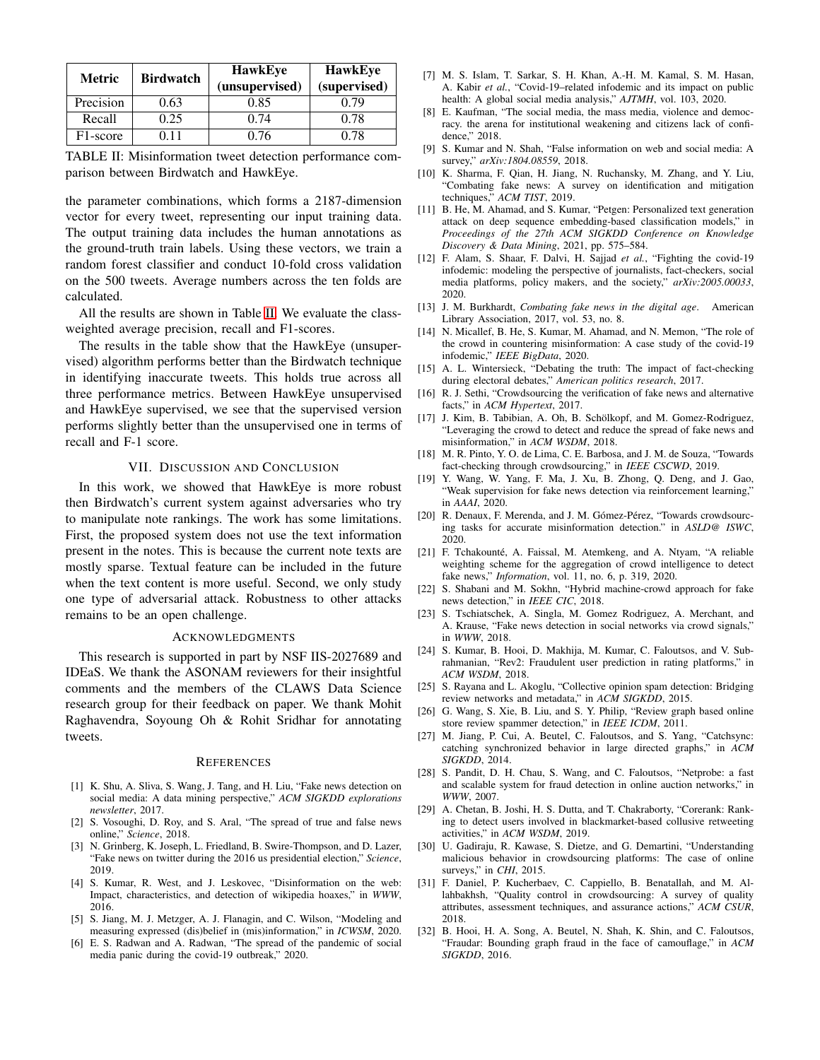<span id="page-7-29"></span>

| <b>Metric</b>         | <b>Birdwatch</b> | <b>HawkEye</b><br>(unsupervised) | <b>HawkEye</b><br>(supervised) |
|-----------------------|------------------|----------------------------------|--------------------------------|
| Precision             | 0.63             | 0.85                             | 0.79                           |
| Recall                | 0.25             | 0.74                             | 0.78                           |
| F <sub>1</sub> -score | ) 11             | 0.76                             | 0.78                           |

TABLE II: Misinformation tweet detection performance comparison between Birdwatch and HawkEye.

the parameter combinations, which forms a 2187-dimension vector for every tweet, representing our input training data. The output training data includes the human annotations as the ground-truth train labels. Using these vectors, we train a random forest classifier and conduct 10-fold cross validation on the 500 tweets. Average numbers across the ten folds are calculated.

All the results are shown in Table [II.](#page-7-29) We evaluate the classweighted average precision, recall and F1-scores.

The results in the table show that the HawkEye (unsupervised) algorithm performs better than the Birdwatch technique in identifying inaccurate tweets. This holds true across all three performance metrics. Between HawkEye unsupervised and HawkEye supervised, we see that the supervised version performs slightly better than the unsupervised one in terms of recall and F-1 score.

# VII. DISCUSSION AND CONCLUSION

In this work, we showed that HawkEye is more robust then Birdwatch's current system against adversaries who try to manipulate note rankings. The work has some limitations. First, the proposed system does not use the text information present in the notes. This is because the current note texts are mostly sparse. Textual feature can be included in the future when the text content is more useful. Second, we only study one type of adversarial attack. Robustness to other attacks remains to be an open challenge.

#### ACKNOWLEDGMENTS

This research is supported in part by NSF IIS-2027689 and IDEaS. We thank the ASONAM reviewers for their insightful comments and the members of the CLAWS Data Science research group for their feedback on paper. We thank Mohit Raghavendra, Soyoung Oh & Rohit Sridhar for annotating tweets.

#### **REFERENCES**

- <span id="page-7-0"></span>[1] K. Shu, A. Sliva, S. Wang, J. Tang, and H. Liu, "Fake news detection on social media: A data mining perspective," *ACM SIGKDD explorations newsletter*, 2017.
- <span id="page-7-7"></span>[2] S. Vosoughi, D. Roy, and S. Aral, "The spread of true and false news online," *Science*, 2018.
- <span id="page-7-2"></span>[3] N. Grinberg, K. Joseph, L. Friedland, B. Swire-Thompson, and D. Lazer, "Fake news on twitter during the 2016 us presidential election," *Science*, 2019.
- <span id="page-7-1"></span>[4] S. Kumar, R. West, and J. Leskovec, "Disinformation on the web: Impact, characteristics, and detection of wikipedia hoaxes," in *WWW*, 2016.
- <span id="page-7-3"></span>[5] S. Jiang, M. J. Metzger, A. J. Flanagin, and C. Wilson, "Modeling and measuring expressed (dis)belief in (mis)information," in *ICWSM*, 2020.
- <span id="page-7-4"></span>[6] E. S. Radwan and A. Radwan, "The spread of the pandemic of social media panic during the covid-19 outbreak," 2020.
- <span id="page-7-5"></span>[7] M. S. Islam, T. Sarkar, S. H. Khan, A.-H. M. Kamal, S. M. Hasan, A. Kabir *et al.*, "Covid-19–related infodemic and its impact on public health: A global social media analysis," *AJTMH*, vol. 103, 2020.
- <span id="page-7-6"></span>[8] E. Kaufman, "The social media, the mass media, violence and democracy. the arena for institutional weakening and citizens lack of confidence," 2018.
- <span id="page-7-8"></span>[9] S. Kumar and N. Shah, "False information on web and social media: A survey," *arXiv:1804.08559*, 2018.
- <span id="page-7-9"></span>[10] K. Sharma, F. Qian, H. Jiang, N. Ruchansky, M. Zhang, and Y. Liu, "Combating fake news: A survey on identification and mitigation techniques," *ACM TIST*, 2019.
- <span id="page-7-10"></span>[11] B. He, M. Ahamad, and S. Kumar, "Petgen: Personalized text generation attack on deep sequence embedding-based classification models," in *Proceedings of the 27th ACM SIGKDD Conference on Knowledge Discovery & Data Mining*, 2021, pp. 575–584.
- <span id="page-7-11"></span>[12] F. Alam, S. Shaar, F. Dalvi, H. Sajjad *et al.*, "Fighting the covid-19 infodemic: modeling the perspective of journalists, fact-checkers, social media platforms, policy makers, and the society," *arXiv:2005.00033*, 2020.
- [13] J. M. Burkhardt, *Combating fake news in the digital age*. American Library Association, 2017, vol. 53, no. 8.
- <span id="page-7-12"></span>[14] N. Micallef, B. He, S. Kumar, M. Ahamad, and N. Memon, "The role of the crowd in countering misinformation: A case study of the covid-19 infodemic," *IEEE BigData*, 2020.
- <span id="page-7-13"></span>[15] A. L. Wintersieck, "Debating the truth: The impact of fact-checking during electoral debates," *American politics research*, 2017.
- <span id="page-7-14"></span>[16] R. J. Sethi, "Crowdsourcing the verification of fake news and alternative facts," in *ACM Hypertext*, 2017.
- [17] J. Kim, B. Tabibian, A. Oh, B. Schölkopf, and M. Gomez-Rodriguez, "Leveraging the crowd to detect and reduce the spread of fake news and misinformation," in *ACM WSDM*, 2018.
- <span id="page-7-15"></span>[18] M. R. Pinto, Y. O. de Lima, C. E. Barbosa, and J. M. de Souza, "Towards fact-checking through crowdsourcing," in *IEEE CSCWD*, 2019.
- <span id="page-7-16"></span>[19] Y. Wang, W. Yang, F. Ma, J. Xu, B. Zhong, Q. Deng, and J. Gao, "Weak supervision for fake news detection via reinforcement learning," in *AAAI*, 2020.
- <span id="page-7-17"></span>[20] R. Denaux, F. Merenda, and J. M. Gómez-Pérez, "Towards crowdsourcing tasks for accurate misinformation detection." in *ASLD@ ISWC*, 2020.
- <span id="page-7-18"></span>[21] F. Tchakounté, A. Faissal, M. Atemkeng, and A. Ntyam, "A reliable weighting scheme for the aggregation of crowd intelligence to detect fake news," *Information*, vol. 11, no. 6, p. 319, 2020.
- <span id="page-7-19"></span>[22] S. Shabani and M. Sokhn, "Hybrid machine-crowd approach for fake news detection," in *IEEE CIC*, 2018.
- <span id="page-7-20"></span>[23] S. Tschiatschek, A. Singla, M. Gomez Rodriguez, A. Merchant, and A. Krause, "Fake news detection in social networks via crowd signals," in *WWW*, 2018.
- <span id="page-7-21"></span>[24] S. Kumar, B. Hooi, D. Makhija, M. Kumar, C. Faloutsos, and V. Subrahmanian, "Rev2: Fraudulent user prediction in rating platforms," in *ACM WSDM*, 2018.
- [25] S. Rayana and L. Akoglu, "Collective opinion spam detection: Bridging review networks and metadata," in *ACM SIGKDD*, 2015.
- <span id="page-7-22"></span>[26] G. Wang, S. Xie, B. Liu, and S. Y. Philip, "Review graph based online store review spammer detection," in *IEEE ICDM*, 2011.
- <span id="page-7-23"></span>[27] M. Jiang, P. Cui, A. Beutel, C. Faloutsos, and S. Yang, "Catchsync: catching synchronized behavior in large directed graphs," in *ACM SIGKDD*, 2014.
- <span id="page-7-24"></span>[28] S. Pandit, D. H. Chau, S. Wang, and C. Faloutsos, "Netprobe: a fast and scalable system for fraud detection in online auction networks," in *WWW*, 2007.
- <span id="page-7-25"></span>[29] A. Chetan, B. Joshi, H. S. Dutta, and T. Chakraborty, "Corerank: Ranking to detect users involved in blackmarket-based collusive retweeting activities," in *ACM WSDM*, 2019.
- <span id="page-7-26"></span>[30] U. Gadiraju, R. Kawase, S. Dietze, and G. Demartini, "Understanding malicious behavior in crowdsourcing platforms: The case of online surveys," in *CHI*, 2015.
- <span id="page-7-27"></span>[31] F. Daniel, P. Kucherbaev, C. Cappiello, B. Benatallah, and M. Allahbakhsh, "Quality control in crowdsourcing: A survey of quality attributes, assessment techniques, and assurance actions," *ACM CSUR*, 2018.
- <span id="page-7-28"></span>[32] B. Hooi, H. A. Song, A. Beutel, N. Shah, K. Shin, and C. Faloutsos, "Fraudar: Bounding graph fraud in the face of camouflage," in *ACM SIGKDD*, 2016.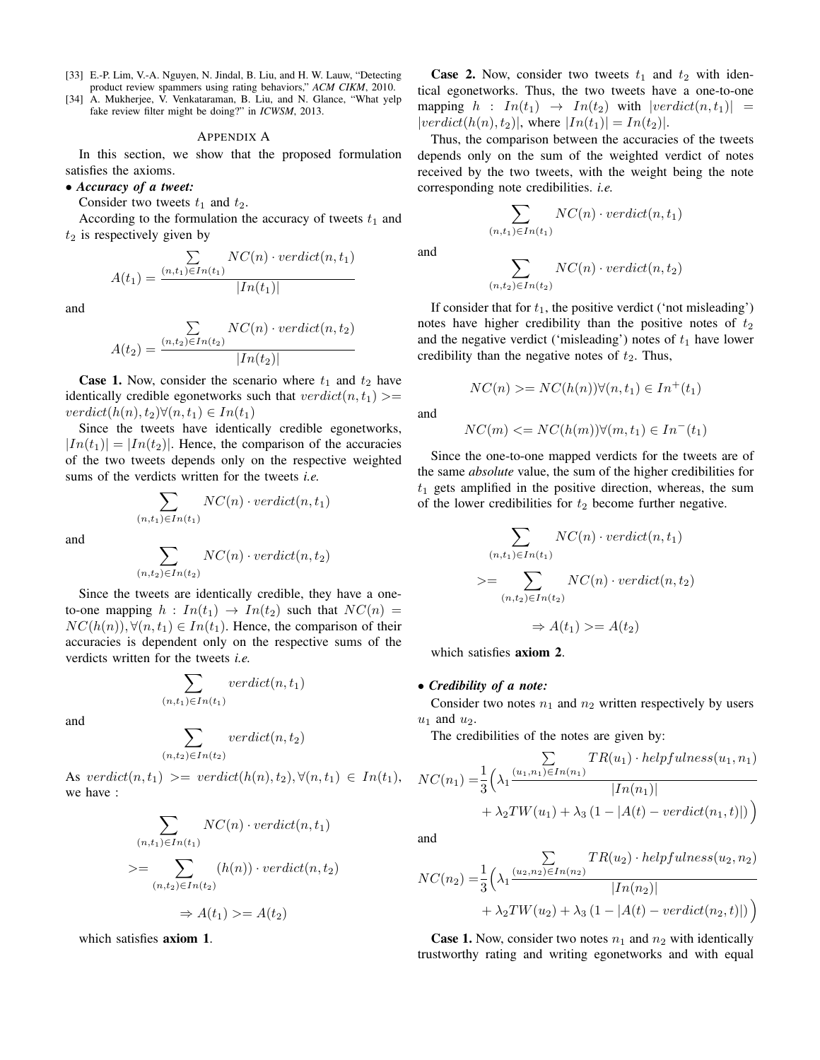- <span id="page-8-0"></span>[33] E.-P. Lim, V.-A. Nguyen, N. Jindal, B. Liu, and H. W. Lauw, "Detecting product review spammers using rating behaviors," *ACM CIKM*, 2010.
- <span id="page-8-1"></span>[34] A. Mukherjee, V. Venkataraman, B. Liu, and N. Glance, "What yelp fake review filter might be doing?" in *ICWSM*, 2013.

## APPENDIX A

In this section, we show that the proposed formulation satisfies the axioms.

#### • *Accuracy of a tweet:*

Consider two tweets  $t_1$  and  $t_2$ .

According to the formulation the accuracy of tweets  $t_1$  and  $t_2$  is respectively given by

$$
A(t_1) = \frac{\sum\limits_{(n,t_1)\in In(t_1)} NC(n) \cdot \text{verdict}(n, t_1)}{|In(t_1)|}
$$

and

$$
A(t_2) = \frac{\sum\limits_{(n,t_2)\in In(t_2)} NC(n) \cdot \text{verdict}(n, t_2)}{|In(t_2)|}
$$

**Case 1.** Now, consider the scenario where  $t_1$  and  $t_2$  have identically credible egonetworks such that  $verdict(n, t_1)$  >=  $verdict(h(n), t_2) \forall (n, t_1) \in In(t_1)$ 

Since the tweets have identically credible egonetworks,  $|In(t_1)| = |In(t_2)|$ . Hence, the comparison of the accuracies of the two tweets depends only on the respective weighted sums of the verdicts written for the tweets *i.e.*

$$
\sum_{(n,t_1)\in In(t_1)} NC(n)\cdot verdict(n,t_1)
$$

and

$$
\sum_{(n,t_2)\in In(t_2)} NC(n)\cdot\text{verdict}(n,t_2)
$$

Since the tweets are identically credible, they have a oneto-one mapping  $h: In(t_1) \to In(t_2)$  such that  $NC(n) =$  $NC(h(n)), \forall (n, t_1) \in In(t_1)$ . Hence, the comparison of their accuracies is dependent only on the respective sums of the verdicts written for the tweets *i.e.*

$$
\sum_{(n,t_1)\in In(t_1)}verdict(n,t_1)
$$

and

$$
\sum_{(n,t_2)\in In(t_2)}verdict(n,t_2)
$$

As verdict $(n, t_1) \geq$  verdict $(h(n), t_2), \forall (n, t_1) \in In(t_1)$ , we have :

$$
\sum_{(n,t_1)\in In(t_1)} NC(n) \cdot \text{verdict}(n, t_1)
$$
  

$$
>= \sum_{(n,t_2)\in In(t_2)} (h(n)) \cdot \text{verdict}(n, t_2)
$$
  

$$
\Rightarrow A(t_1) >= A(t_2)
$$

which satisfies axiom 1.

**Case 2.** Now, consider two tweets  $t_1$  and  $t_2$  with identical egonetworks. Thus, the two tweets have a one-to-one mapping  $h : In(t_1) \rightarrow In(t_2)$  with  $|verdict(n, t_1)| =$  $|verdict(h(n), t_2)|$ , where  $|In(t_1)| = In(t_2)|$ .

Thus, the comparison between the accuracies of the tweets depends only on the sum of the weighted verdict of notes received by the two tweets, with the weight being the note corresponding note credibilities. *i.e.*

$$
\sum_{(n,t_1)\in In(t_1)} NC(n)\cdot verdict(n,t_1)
$$

and

$$
\sum_{(n,t_2)\in In(t_2)} NC(n)\cdot verdict(n,t_2)
$$

If consider that for  $t_1$ , the positive verdict ('not misleading') notes have higher credibility than the positive notes of  $t_2$ and the negative verdict ('misleading') notes of  $t_1$  have lower credibility than the negative notes of  $t_2$ . Thus,

$$
NC(n) \geq NC(h(n))\forall (n, t_1) \in In^+(t_1)
$$

and

$$
NC(m) \leq NC(h(m))\forall (m, t_1) \in In^-(t_1)
$$

Since the one-to-one mapped verdicts for the tweets are of the same *absolute* value, the sum of the higher credibilities for  $t_1$  gets amplified in the positive direction, whereas, the sum of the lower credibilities for  $t_2$  become further negative.

$$
\sum_{(n,t_1)\in In(t_1)} NC(n) \cdot \text{verdict}(n, t_1)
$$
\n
$$
\geq \sum_{(n,t_2)\in In(t_2)} NC(n) \cdot \text{verdict}(n, t_2)
$$
\n
$$
\Rightarrow A(t_1) \geq A(t_2)
$$

which satisfies axiom 2.

## • *Credibility of a note:*

Consider two notes  $n_1$  and  $n_2$  written respectively by users  $u_1$  and  $u_2$ .

The credibilities of the notes are given by:

$$
NC(n_1) = \frac{1}{3} \left( \lambda_1 \frac{\sum_{(u_1, n_1) \in In(n_1)} TR(u_1) \cdot helpfulness(u_1, n_1)}{|In(n_1)|} + \lambda_2 TW(u_1) + \lambda_3 (1 - |A(t) - verdict(n_1, t)|) \right)
$$

and

$$
NC(n_2) = \frac{1}{3} \left( \lambda_1 \frac{\sum_{(u_2, n_2) \in In(n_2)} TR(u_2) \cdot helpfulness(u_2, n_2)}{|In(n_2)|} + \lambda_2 TW(u_2) + \lambda_3 (1 - |A(t) - verdict(n_2, t)|) \right)
$$

**Case 1.** Now, consider two notes  $n_1$  and  $n_2$  with identically trustworthy rating and writing egonetworks and with equal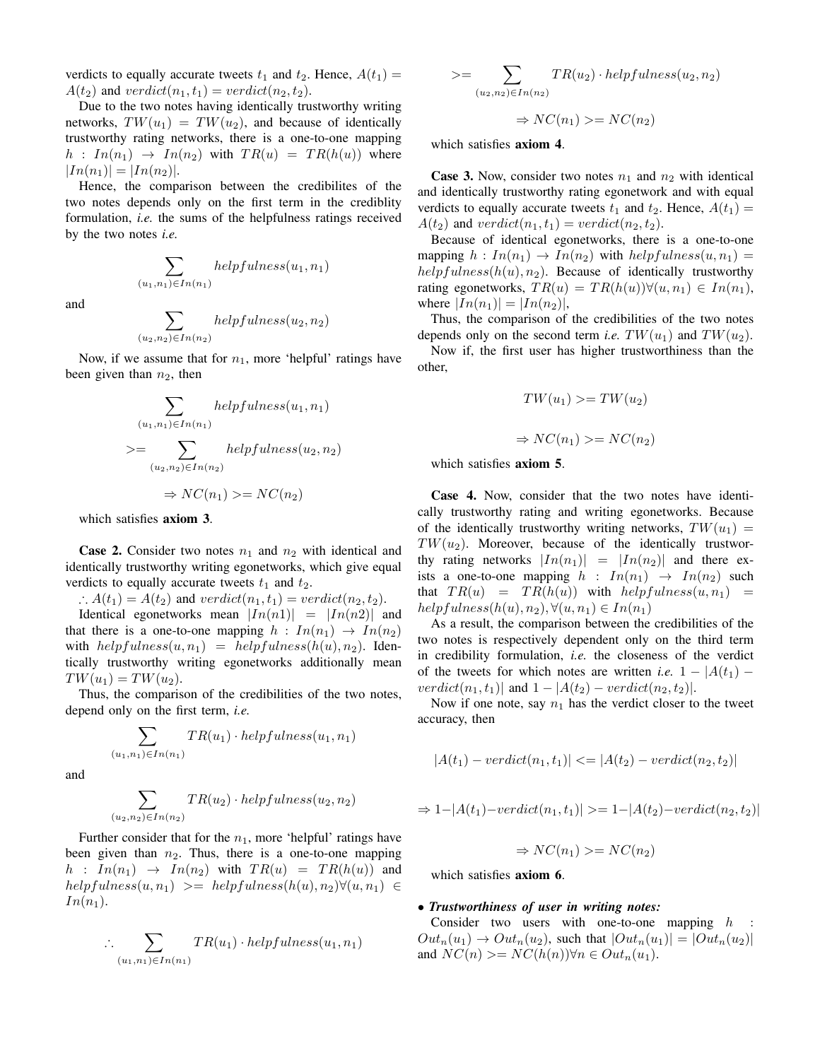verdicts to equally accurate tweets  $t_1$  and  $t_2$ . Hence,  $A(t_1)$  =  $A(t_2)$  and  $verdict(n_1, t_1) = verdict(n_2, t_2)$ .

Due to the two notes having identically trustworthy writing networks,  $TW(u_1) = TW(u_2)$ , and because of identically trustworthy rating networks, there is a one-to-one mapping  $h: In(n_1) \rightarrow In(n_2)$  with  $TR(u) = TR(h(u))$  where  $|In(n_1)| = |In(n_2)|.$ 

Hence, the comparison between the credibilites of the two notes depends only on the first term in the crediblity formulation, *i.e.* the sums of the helpfulness ratings received by the two notes *i.e.*

> $\sum$  $(u_1,n_1) \in In(n_1)$

and

$$
\sum_{(u_2,n_2)\in In(n_2)}helpfulness(u_2,n_2)
$$

 $helpfulness(u_1, n_1)$ 

Now, if we assume that for  $n_1$ , more 'helpful' ratings have been given than  $n_2$ , then

$$
\sum_{(u_1, n_1) \in In(n_1)} helpfulness(u_1, n_1)
$$
  

$$
>= \sum_{(u_2, n_2) \in In(n_2)} helpfulness(u_2, n_2)
$$
  

$$
\Rightarrow NC(n_1) \geq NC(n_2)
$$

which satisfies **axiom 3**.

**Case 2.** Consider two notes  $n_1$  and  $n_2$  with identical and identically trustworthy writing egonetworks, which give equal verdicts to equally accurate tweets  $t_1$  and  $t_2$ .

 $\therefore A(t_1) = A(t_2)$  and  $verdict(n_1, t_1) = verdict(n_2, t_2)$ .

Identical egonetworks mean  $|In(n1)| = |In(n2)|$  and that there is a one-to-one mapping  $h : In(n_1) \rightarrow In(n_2)$ with  $helpfulness(u, n_1) = helpfulness(h(u), n_2)$ . Identically trustworthy writing egonetworks additionally mean  $TW(u_1) = TW(u_2).$ 

Thus, the comparison of the credibilities of the two notes, depend only on the first term, *i.e.*

$$
\sum_{(u_1,n_1)\in In(n_1)} TR(u_1)\cdot helpfulness(u_1,n_1)
$$

and

$$
\sum_{(u_2,n_2)\in In(n_2)} TR(u_2)\cdot helpfulness(u_2,n_2)
$$

Further consider that for the  $n_1$ , more 'helpful' ratings have been given than  $n_2$ . Thus, there is a one-to-one mapping  $h : In(n_1) \rightarrow In(n_2)$  with  $TR(u) = TR(h(u))$  and  $helpfulness(u, n_1) \geq helpfulness(h(u), n_2) \forall (u, n_1) \in$  $In(n_1).$ 

$$
\therefore \sum_{(u_1,n_1)\in In(n_1)} TR(u_1) \cdot helpfulness(u_1,n_1)
$$

$$
\geq = \sum_{(u_2, n_2) \in In(n_2)} TR(u_2) \cdot helpfulness(u_2, n_2)
$$

$$
\Rightarrow NC(n_1) \geq NC(n_2)
$$

which satisfies axiom 4.

**Case 3.** Now, consider two notes  $n_1$  and  $n_2$  with identical and identically trustworthy rating egonetwork and with equal verdicts to equally accurate tweets  $t_1$  and  $t_2$ . Hence,  $A(t_1)$  =  $A(t_2)$  and  $verdict(n_1, t_1) = verdict(n_2, t_2)$ .

Because of identical egonetworks, there is a one-to-one mapping  $h: In(n_1) \to In(n_2)$  with  $helpfulness(u, n_1) =$  $helpfulness(h(u), n<sub>2</sub>)$ . Because of identically trustworthy rating egonetworks,  $TR(u) = TR(h(u)) \forall (u, n_1) \in In(n_1)$ , where  $|In(n_1)| = |In(n_2)|$ ,

Thus, the comparison of the credibilities of the two notes depends only on the second term *i.e.*  $TW(u_1)$  and  $TW(u_2)$ .

Now if, the first user has higher trustworthiness than the other,

$$
TW(u_1) \ge TW(u_2)
$$
  

$$
\Rightarrow NC(n_1) \ge NC(n_2)
$$

which satisfies axiom 5.

Case 4. Now, consider that the two notes have identically trustworthy rating and writing egonetworks. Because of the identically trustworthy writing networks,  $TW(u_1) =$  $TW(u_2)$ . Moreover, because of the identically trustworthy rating networks  $|In(n_1)| = |In(n_2)|$  and there exists a one-to-one mapping  $h : In(n_1) \rightarrow In(n_2)$  such that  $TR(u) = TR(h(u))$  with  $helpfulness(u, n_1) =$  $helpfulness(h(u), n_2), \forall (u, n_1) \in In(n_1)$ 

As a result, the comparison between the credibilities of the two notes is respectively dependent only on the third term in credibility formulation, *i.e.* the closeness of the verdict of the tweets for which notes are written *i.e.*  $1 - |A(t_1)$  $verdict(n_1, t_1)|$  and  $1 - |A(t_2) - verdict(n_2, t_2)|$ .

Now if one note, say  $n_1$  has the verdict closer to the tweet accuracy, then

$$
|A(t_1) - \text{verdict}(n_1, t_1)| \leq |A(t_2) - \text{verdict}(n_2, t_2)|
$$

$$
\Rightarrow 1 - |A(t_1) - verdict(n_1, t_1)| \geq 1 - |A(t_2) - verdict(n_2, t_2)|
$$

$$
\Rightarrow NC(n_1) >= NC(n_2)
$$

which satisfies axiom 6.

# • *Trustworthiness of user in writing notes:*

Consider two users with one-to-one mapping  $h$  $Out_n(u_1) \rightarrow Out_n(u_2)$ , such that  $|Out_n(u_1)| = |Out_n(u_2)|$ and  $NC(n) >= NC(h(n)) \forall n \in Out_n(u_1)$ .